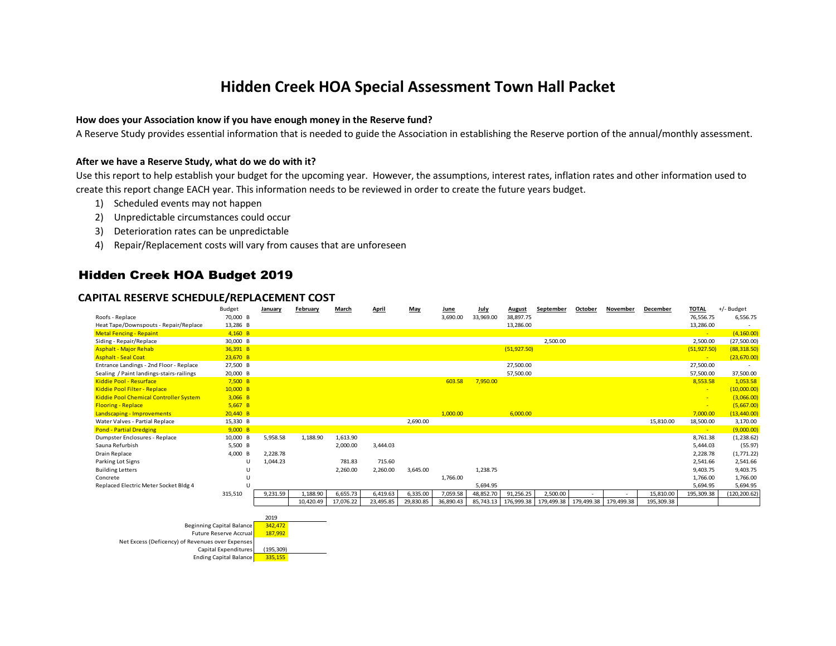## **Hidden Creek HOA Special Assessment Town Hall Packet**

#### **How does your Association know if you have enough money in the Reserve fund?**

A Reserve Study provides essential information that is needed to guide the Association in establishing the Reserve portion of the annual/monthly assessment.

#### **After we have a Reserve Study, what do we do with it?**

Use this report to help establish your budget for the upcoming year. However, the assumptions, interest rates, inflation rates and other information used to create this report change EACH year. This information needs to be reviewed in order to create the future years budget.

- 1) Scheduled events may not happen
- 2) Unpredictable circumstances could occur
- 3) Deterioration rates can be unpredictable
- 4) Repair/Replacement costs will vary from causes that are unforeseen

#### Hidden Creek HOA Budget 2019

#### **CAPITAL RESERVE SCHEDULE/REPLACEMENT COST**

|                                                  | Budget                           | January         | February  | March     | <b>April</b> | May       | June      | July      | <b>August</b> | September  | October    | November   | December   | <b>TOTAL</b> | +/- Budget    |
|--------------------------------------------------|----------------------------------|-----------------|-----------|-----------|--------------|-----------|-----------|-----------|---------------|------------|------------|------------|------------|--------------|---------------|
| Roofs - Replace                                  | 70,000 B                         |                 |           |           |              |           | 3,690.00  | 33,969.00 | 38,897.75     |            |            |            |            | 76,556.75    | 6,556.75      |
| Heat Tape/Downspouts - Repair/Replace            | 13,286 B                         |                 |           |           |              |           |           |           | 13,286.00     |            |            |            |            | 13,286.00    |               |
| <b>Metal Fencing - Repaint</b>                   | $4,160$ B                        |                 |           |           |              |           |           |           |               |            |            |            |            |              | (4, 160.00)   |
| Siding - Repair/Replace                          | 30,000 B                         |                 |           |           |              |           |           |           |               | 2,500.00   |            |            |            | 2,500.00     | (27,500.00)   |
| <b>Asphalt - Major Rehab</b>                     | 36,391 B                         |                 |           |           |              |           |           |           | (51, 927.50)  |            |            |            |            | (51, 927.50) | (88, 318.50)  |
| <b>Asphalt - Seal Coat</b>                       | $23,670$ B                       |                 |           |           |              |           |           |           |               |            |            |            |            |              | (23,670.00)   |
| Entrance Landings - 2nd Floor - Replace          | 27,500 B                         |                 |           |           |              |           |           |           | 27,500.00     |            |            |            |            | 27,500.00    |               |
| Sealing / Paint landings-stairs-railings         | 20,000 B                         |                 |           |           |              |           |           |           | 57,500.00     |            |            |            |            | 57,500.00    | 37,500.00     |
| Kiddie Pool - Resurface                          | $7,500$ B                        |                 |           |           |              |           | 603.58    | 7,950.00  |               |            |            |            |            | 8,553.58     | 1,053.58      |
| Kiddie Pool Filter - Replace                     | $10,000$ B                       |                 |           |           |              |           |           |           |               |            |            |            |            |              | (10,000.00)   |
| <b>Kiddie Pool Chemical Controller System</b>    | $3,066$ B                        |                 |           |           |              |           |           |           |               |            |            |            |            |              | (3,066.00)    |
| <b>Flooring - Replace</b>                        | $5,667$ B                        |                 |           |           |              |           |           |           |               |            |            |            |            |              | (5,667.00)    |
| Landscaping - Improvements                       | $20,440$ B                       |                 |           |           |              |           | 1,000.00  |           | 6,000.00      |            |            |            |            | 7,000.00     | (13, 440.00)  |
| Water Valves - Partial Replace                   | 15,330 B                         |                 |           |           |              | 2,690.00  |           |           |               |            |            |            | 15,810.00  | 18,500.00    | 3,170.00      |
| <b>Pond - Partial Dredging</b>                   | 9,000 B                          |                 |           |           |              |           |           |           |               |            |            |            |            |              | (9,000.00)    |
| Dumpster Enclosures - Replace                    | 10,000 B                         | 5,958.58        | 1,188.90  | 1,613.90  |              |           |           |           |               |            |            |            |            | 8,761.38     | (1, 238.62)   |
| Sauna Refurbish                                  | 5,500 B                          |                 |           | 2,000.00  | 3,444.03     |           |           |           |               |            |            |            |            | 5,444.03     | (55.97)       |
| Drain Replace                                    | 4,000 B                          | 2,228.78        |           |           |              |           |           |           |               |            |            |            |            | 2,228.78     | (1,771.22)    |
| Parking Lot Signs                                | U                                | 1,044.23        |           | 781.83    | 715.60       |           |           |           |               |            |            |            |            | 2,541.66     | 2,541.66      |
| <b>Building Letters</b>                          | $\mathbf{H}$                     |                 |           | 2,260.00  | 2,260.00     | 3,645.00  |           | 1,238.75  |               |            |            |            |            | 9,403.75     | 9,403.75      |
| Concrete                                         |                                  |                 |           |           |              |           | 1,766.00  |           |               |            |            |            |            | 1,766.00     | 1,766.00      |
| Replaced Electric Meter Socket Bldg 4            |                                  |                 |           |           |              |           |           | 5,694.95  |               |            |            |            |            | 5,694.95     | 5,694.95      |
|                                                  | 315,510                          | 9,231.59        | 1,188.90  | 6,655.73  | 6,419.63     | 6,335.00  | 7,059.58  | 48,852.70 | 91,256.25     | 2,500.00   |            |            | 15,810.00  | 195,309.38   | (120, 200.62) |
|                                                  |                                  |                 | 10,420.49 | 17,076.22 | 23,495.85    | 29,830.85 | 36,890.43 | 85,743.13 | 176,999.38    | 179,499.38 | 179,499.38 | 179,499.38 | 195,309.38 |              |               |
|                                                  |                                  |                 |           |           |              |           |           |           |               |            |            |            |            |              |               |
|                                                  | <b>Beginning Capital Balance</b> | 2019<br>342,472 |           |           |              |           |           |           |               |            |            |            |            |              |               |
|                                                  | <b>Future Reserve Accrual</b>    | 187,992         |           |           |              |           |           |           |               |            |            |            |            |              |               |
| Net Excess (Deficency) of Revenues over Expenses |                                  |                 |           |           |              |           |           |           |               |            |            |            |            |              |               |
|                                                  | Capital Expenditures             | (195, 309)      |           |           |              |           |           |           |               |            |            |            |            |              |               |
|                                                  | <b>Ending Capital Balance</b>    |                 |           |           |              |           |           |           |               |            |            |            |            |              |               |
|                                                  |                                  | 335,155         |           |           |              |           |           |           |               |            |            |            |            |              |               |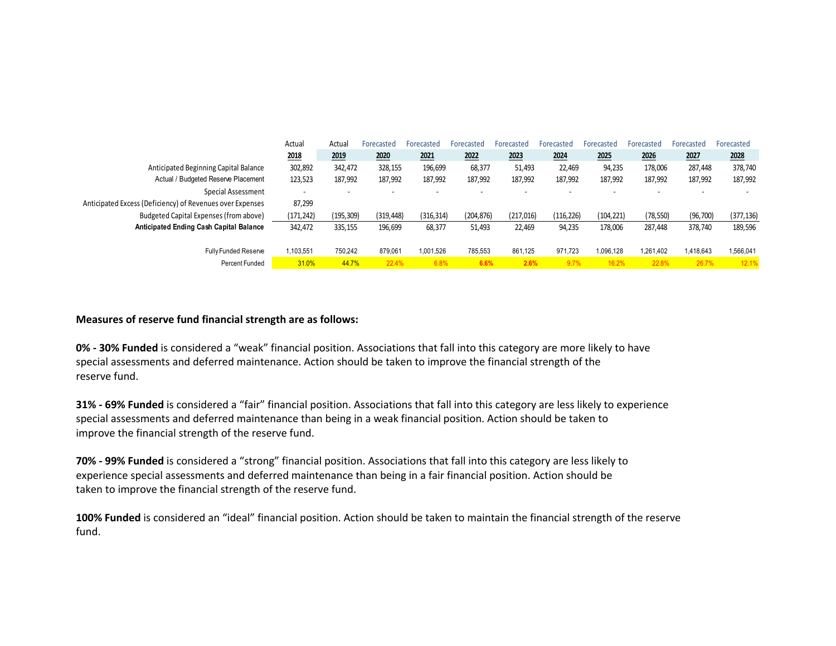|                                                           | Actual                   | Actual     | Forecasted               | Forecasted               | Forecasted               | Forecasted | Forecasted | Forecasted               | Forecasted               | Forecasted               | Forecasted |
|-----------------------------------------------------------|--------------------------|------------|--------------------------|--------------------------|--------------------------|------------|------------|--------------------------|--------------------------|--------------------------|------------|
|                                                           | 2018                     | 2019       | 2020                     | 2021                     | 2022                     | 2023       | 2024       | 2025                     | 2026                     | 2027                     | 2028       |
| Anticipated Beginning Capital Balance                     | 302,892                  | 342,472    | 328,155                  | 196,699                  | 68,377                   | 51,493     | 22,469     | 94,235                   | 178,006                  | 287,448                  | 378,740    |
| Actual / Budgeted Reserve Placement                       | 123,523                  | 187,992    | 187,992                  | 187,992                  | 187,992                  | 187,992    | 187,992    | 187,992                  | 187,992                  | 187,992                  | 187,992    |
| Special Assessment                                        | $\overline{\phantom{a}}$ | ۰.         | $\overline{\phantom{a}}$ | $\overline{\phantom{a}}$ | $\overline{\phantom{a}}$ |            | $\sim$     | $\overline{\phantom{a}}$ | $\overline{\phantom{a}}$ | $\overline{\phantom{a}}$ |            |
| Anticipated Excess (Deficiency) of Revenues over Expenses | 87,299                   |            |                          |                          |                          |            |            |                          |                          |                          |            |
| Budgeted Capital Expenses (from above)                    | (171, 242)               | (195, 309) | (319, 448)               | (316, 314)               | (204, 876)               | (217, 016) | (116, 226) | (104, 221)               | (78, 550)                | (96, 700)                | (377, 136) |
| <b>Anticipated Ending Cash Capital Balance</b>            | 342,472                  | 335,155    | 196,699                  | 68,377                   | 51,493                   | 22.469     | 94,235     | 178,006                  | 287,448                  | 378.740                  | 189,596    |
|                                                           |                          |            |                          |                          |                          |            |            |                          |                          |                          |            |
| <b>Fully Funded Reserve</b>                               | 1.103.551                | 750.242    | 879,061                  | 1.001.526                | 785.553                  | 861.125    | 971.723    | 1.096.128                | 1.261.402                | 1,418,643                | 1,566,041  |
| Percent Funded                                            | 31.0%                    | 44.7%      | 22.4%                    | 6.8%                     | 6.6%                     | 2.6%       | 9.7%       | 16.2%                    | 22.8%                    | 26.7%                    | 12.1%      |

#### **Measures of reserve fund financial strength are as follows:**

**0% - 30% Funded** is considered a "weak" financial position. Associations that fall into this category are more likely to have special assessments and deferred maintenance. Action should be taken to improve the financial strength of the reserve fund.

**31% - 69% Funded** is considered a "fair" financial position. Associations that fall into this category are less likely to experience special assessments and deferred maintenance than being in a weak financial position. Action should be taken to improve the financial strength of the reserve fund.

**70% - 99% Funded** is considered a "strong" financial position. Associations that fall into this category are less likely to experience special assessments and deferred maintenance than being in a fair financial position. Action should be taken to improve the financial strength of the reserve fund.

**100% Funded** is considered an "ideal" financial position. Action should be taken to maintain the financial strength of the reserve fund.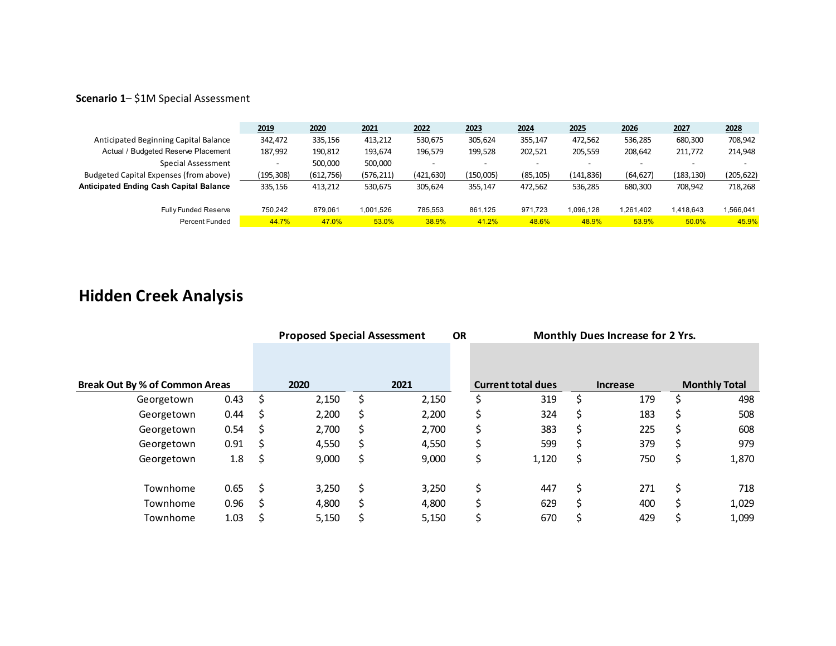### **Scenario 1**– \$1M Special Assessment

|                                         | 2019      | 2020       | 2021       | 2022       | 2023      | 2024                     | 2025       | 2026      | 2027                     | 2028       |
|-----------------------------------------|-----------|------------|------------|------------|-----------|--------------------------|------------|-----------|--------------------------|------------|
| Anticipated Beginning Capital Balance   | 342.472   | 335,156    | 413,212    | 530,675    | 305,624   | 355,147                  | 472,562    | 536,285   | 680,300                  | 708,942    |
| Actual / Budgeted Reserve Placement     | 187,992   | 190,812    | 193,674    | 196,579    | 199,528   | 202.521                  | 205,559    | 208,642   | 211,772                  | 214,948    |
| Special Assessment                      |           | 500,000    | 500,000    |            |           | $\overline{\phantom{a}}$ |            |           | $\overline{\phantom{0}}$ |            |
| Budgeted Capital Expenses (from above)  | (195,308) | (612, 756) | (576, 211) | (421, 630) | (150,005) | (85, 105)                | (141, 836) | (64, 627) | (183,130)                | (205, 622) |
| Anticipated Ending Cash Capital Balance | 335.156   | 413,212    | 530,675    | 305.624    | 355,147   | 472.562                  | 536,285    | 680,300   | 708,942                  | 718,268    |
| <b>Fully Funded Reserve</b>             | 750.242   | 879.061    | 1.001.526  | 785.553    | 861.125   | 971.723                  | 1.096.128  | 1,261,402 | 1,418,643                | 1,566,041  |
| Percent Funded                          | 44.7%     | 47.0%      | 53.0%      | 38.9%      | 41.2%     | 48.6%                    | 48.9%      | 53.9%     | 50.0%                    | 45.9%      |

# **Hidden Creek Analysis**

|                                       |      |     | <b>Proposed Special Assessment</b> |    |       | <b>OR</b> | Monthly Dues Increase for 2 Yrs. |                           |    |                 |    |                      |
|---------------------------------------|------|-----|------------------------------------|----|-------|-----------|----------------------------------|---------------------------|----|-----------------|----|----------------------|
| <b>Break Out By % of Common Areas</b> |      |     | 2020                               |    | 2021  |           |                                  | <b>Current total dues</b> |    | <b>Increase</b> |    | <b>Monthly Total</b> |
|                                       |      |     |                                    |    |       |           |                                  |                           |    |                 |    |                      |
| Georgetown                            | 0.43 | Ś   | 2,150                              | S  | 2,150 |           | Ś                                | 319                       |    | 179             | \$ | 498                  |
| Georgetown                            | 0.44 | S   | 2,200                              | S  | 2,200 |           | \$                               | 324                       | S  | 183             | \$ | 508                  |
| Georgetown                            | 0.54 | S   | 2,700                              | S  | 2,700 |           | \$                               | 383                       | S  | 225             | \$ | 608                  |
| Georgetown                            | 0.91 | S   | 4,550                              | S  | 4,550 |           | \$                               | 599                       | S  | 379             | \$ | 979                  |
| Georgetown                            | 1.8  | \$, | 9,000                              | \$ | 9,000 |           | \$                               | 1,120                     | S. | 750             | \$ | 1,870                |
| Townhome                              | 0.65 | Ś   | 3,250                              | Ś  | 3,250 |           | \$                               | 447                       | \$ | 271             | \$ | 718                  |
| Townhome                              | 0.96 | S   | 4,800                              | Ś  | 4,800 |           | \$                               | 629                       | Ś. | 400             | \$ | 1,029                |
| Townhome                              | 1.03 | \$  | 5,150                              |    | 5,150 |           | Ś                                | 670                       | S  | 429             | \$ | 1,099                |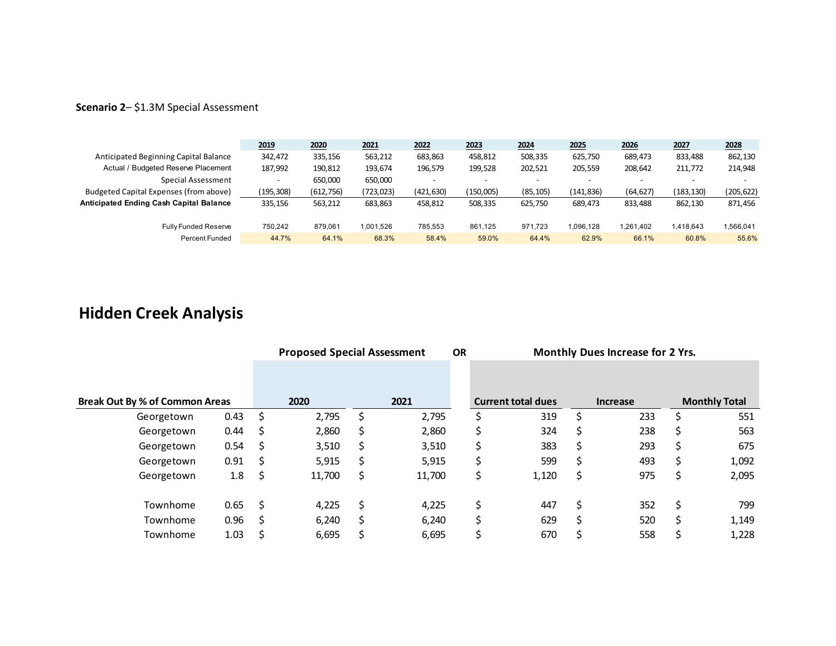### **Scenario 2**– \$1.3M Special Assessment

|                                                | 2019       | 2020       | 2021       | 2022       | 2023                     | 2024      | 2025                     | 2026      | 2027                     | 2028       |
|------------------------------------------------|------------|------------|------------|------------|--------------------------|-----------|--------------------------|-----------|--------------------------|------------|
| Anticipated Beginning Capital Balance          | 342.472    | 335,156    | 563,212    | 683,863    | 458,812                  | 508,335   | 625,750                  | 689,473   | 833,488                  | 862,130    |
| Actual / Budgeted Reserve Placement            | 187,992    | 190,812    | 193,674    | 196,579    | 199,528                  | 202,521   | 205,559                  | 208,642   | 211,772                  | 214,948    |
| Special Assessment                             |            | 650,000    | 650,000    |            | $\overline{\phantom{0}}$ | -         | $\overline{\phantom{0}}$ |           | $\overline{\phantom{0}}$ |            |
| Budgeted Capital Expenses (from above)         | (195, 308) | (612, 756) | (723, 023) | (421, 630) | (150,005)                | (85, 105) | (141, 836)               | (64, 627) | (183,130)                | (205, 622) |
| <b>Anticipated Ending Cash Capital Balance</b> | 335.156    | 563.212    | 683,863    | 458.812    | 508,335                  | 625.750   | 689.473                  | 833.488   | 862.130                  | 871,456    |
| <b>Fully Funded Reserve</b>                    | 750.242    | 879.061    | 1,001,526  | 785.553    | 861.125                  | 971.723   | 1.096.128                | 1,261,402 | 1,418,643                | 1,566,041  |
| <b>Percent Funded</b>                          | 44.7%      | 64.1%      | 68.3%      | 58.4%      | 59.0%                    | 64.4%     | 62.9%                    | 66.1%     | 60.8%                    | 55.6%      |

# **Hidden Creek Analysis**

|                                       |      |     | <b>Proposed Special Assessment</b> |    |        |  |    | Monthly Dues Increase for 2 Yrs.<br><b>OR</b> |    |                 |    |                      |  |
|---------------------------------------|------|-----|------------------------------------|----|--------|--|----|-----------------------------------------------|----|-----------------|----|----------------------|--|
|                                       |      |     |                                    |    |        |  |    |                                               |    |                 |    |                      |  |
| <b>Break Out By % of Common Areas</b> |      |     | 2020                               |    | 2021   |  |    | <b>Current total dues</b>                     |    | <b>Increase</b> |    | <b>Monthly Total</b> |  |
| Georgetown                            | 0.43 | \$  | 2,795                              | Ś  | 2,795  |  | \$ | 319                                           | Ś  | 233             | Ś  | 551                  |  |
| Georgetown                            | 0.44 | \$  | 2,860                              | Ś  | 2,860  |  | \$ | 324                                           |    | 238             | \$ | 563                  |  |
| Georgetown                            | 0.54 | \$, | 3,510                              | S  | 3,510  |  | \$ | 383                                           | S  | 293             | \$ | 675                  |  |
| Georgetown                            | 0.91 | \$  | 5,915                              | S  | 5,915  |  | S  | 599                                           | S  | 493             | \$ | 1,092                |  |
| Georgetown                            | 1.8  | \$. | 11,700                             | \$ | 11,700 |  | \$ | 1,120                                         | \$ | 975             | \$ | 2,095                |  |
| Townhome                              | 0.65 | \$  | 4,225                              | Ś  | 4,225  |  | \$ | 447                                           | Ś  | 352             | \$ | 799                  |  |
| Townhome                              | 0.96 | S   | 6,240                              | S  | 6,240  |  | Ś  | 629                                           | S  | 520             | Ś  | 1,149                |  |
| Townhome                              | 1.03 | Ś   | 6,695                              |    | 6,695  |  | Ś  | 670                                           | S  | 558             | Ś  | 1,228                |  |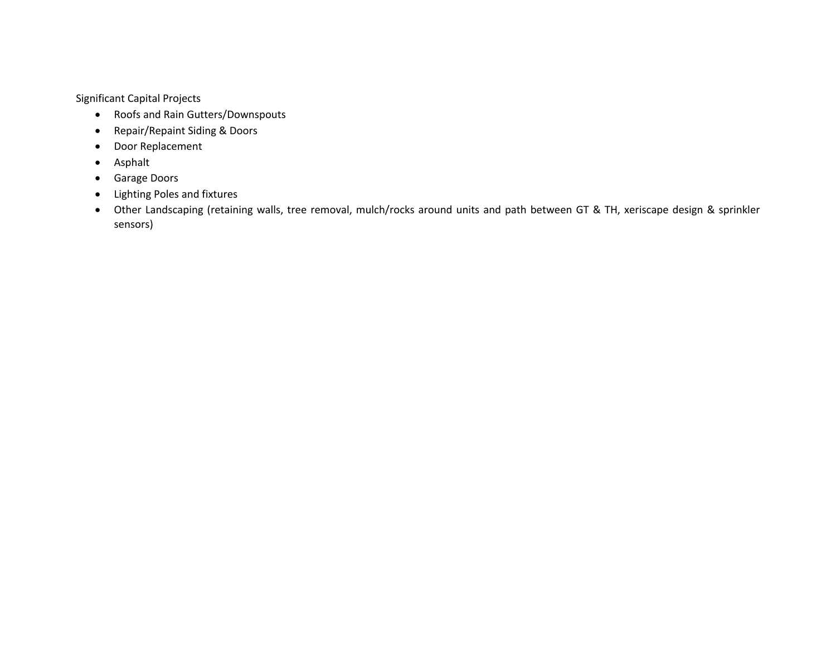Significant Capital Projects

- Roofs and Rain Gutters/Downspouts
- Repair/Repaint Siding & Doors
- Door Replacement
- Asphalt
- Garage Doors
- Lighting Poles and fixtures
- Other Landscaping (retaining walls, tree removal, mulch/rocks around units and path between GT & TH, xeriscape design & sprinkler sensors)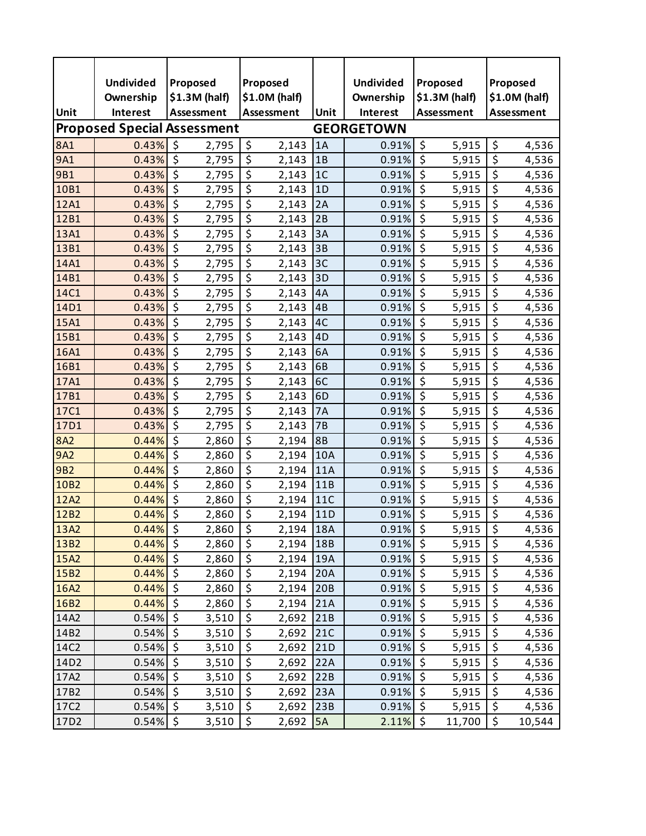|            | <b>Undivided</b>                   | Proposed                 |                |                  | Proposed      |                | <b>Undivided</b>  | Proposed                 |                |                         | Proposed |
|------------|------------------------------------|--------------------------|----------------|------------------|---------------|----------------|-------------------|--------------------------|----------------|-------------------------|----------|
|            | Ownership                          |                          | $$1.3M$ (half) |                  | \$1.0M (half) |                | Ownership         |                          | $$1.3M$ (half) | \$1.0M (half)           |          |
| Unit       | <b>Interest</b>                    |                          | Assessment     |                  | Assessment    | Unit           | <b>Interest</b>   | <b>Assessment</b>        |                | Assessment              |          |
|            | <b>Proposed Special Assessment</b> |                          |                |                  |               |                | <b>GEORGETOWN</b> |                          |                |                         |          |
| <b>8A1</b> | 0.43%                              | \$                       | 2,795          | \$               | 2,143         | 1A             | 0.91%             | $\zeta$                  | 5,915          | \$                      | 4,536    |
| 9A1        | 0.43%                              | \$                       | 2,795          | \$               | 2,143         | 1B             | 0.91%             | $\overline{\varsigma}$   | 5,915          | $\overline{\xi}$        | 4,536    |
| 9B1        | 0.43%                              | \$                       | 2,795          | \$               | 2,143         | 1 <sup>C</sup> | 0.91%             | $\zeta$                  | 5,915          | \$                      | 4,536    |
| 10B1       | 0.43%                              | \$                       | 2,795          | \$               | 2,143         | 1D             | 0.91%             | \$                       | 5,915          | \$                      | 4,536    |
| 12A1       | 0.43%                              | $\overline{\varsigma}$   | 2,795          | \$               | 2,143         | 2A             | 0.91%             | $\overline{\mathcal{S}}$ | 5,915          | \$                      | 4,536    |
| 12B1       | 0.43%                              | \$                       | 2,795          | \$               | 2,143         | 2B             | 0.91%             | $\zeta$                  | 5,915          | $\overline{\xi}$        | 4,536    |
| 13A1       | 0.43%                              | \$                       | 2,795          | \$               | 2,143         | 3A             | 0.91%             | \$                       | 5,915          | \$                      | 4,536    |
| 13B1       | 0.43%                              | $\overline{\varsigma}$   | 2,795          | \$               | 2,143         | 3B             | 0.91%             | $\overline{\mathcal{S}}$ | 5,915          | \$                      | 4,536    |
| 14A1       | 0.43%                              | \$                       | 2,795          | \$               | 2,143         | 3C             | 0.91%             | $\zeta$                  | 5,915          | \$                      | 4,536    |
| 14B1       | 0.43%                              | \$                       | 2,795          | \$               | 2,143         | 3D             | 0.91%             | \$                       | 5,915          | \$                      | 4,536    |
| 14C1       | 0.43%                              | $\overline{\xi}$         | 2,795          | \$               | 2,143         | 4A             | 0.91%             | $\overline{\mathcal{S}}$ | 5,915          | \$                      | 4,536    |
| 14D1       | 0.43%                              | \$                       | 2,795          | \$               | 2,143         | 4B             | 0.91%             | $\zeta$                  | 5,915          | $\overline{\xi}$        | 4,536    |
| 15A1       | 0.43%                              | \$                       | 2,795          | \$               | 2,143         | 4C             | 0.91%             | \$                       | 5,915          | \$                      | 4,536    |
| 15B1       | 0.43%                              | $\overline{\xi}$         | 2,795          | \$               | 2,143         | 4D             | 0.91%             | $\overline{\mathcal{S}}$ | 5,915          | \$                      | 4,536    |
| 16A1       | 0.43%                              | \$                       | 2,795          | \$               | 2,143         | 6A             | 0.91%             | $\zeta$                  | 5,915          | \$                      | 4,536    |
| 16B1       | 0.43%                              | \$                       | 2,795          | \$               | 2,143         | 6B             | 0.91%             | \$                       | 5,915          | \$                      | 4,536    |
| 17A1       | 0.43%                              | $\overline{\xi}$         | 2,795          | \$               | 2,143         | 6C             | 0.91%             | $\overline{\mathcal{S}}$ | 5,915          | \$                      | 4,536    |
| 17B1       | 0.43%                              | \$                       | 2,795          | $\overline{\xi}$ | 2,143         | 6 <sub>D</sub> | 0.91%             | $\zeta$                  | 5,915          | $\overline{\xi}$        | 4,536    |
| 17C1       | 0.43%                              | \$                       | 2,795          | \$               | 2,143         | 7A             | 0.91%             | \$                       | 5,915          | \$                      | 4,536    |
| 17D1       | 0.43%                              | $\overline{\xi}$         | 2,795          | \$               | 2,143         | 7B             | 0.91%             | $\overline{\mathcal{S}}$ | 5,915          | \$                      | 4,536    |
| <b>8A2</b> | 0.44%                              | \$                       | 2,860          | \$               | 2,194         | 8B             | 0.91%             | $\zeta$                  | 5,915          | \$                      | 4,536    |
| 9A2        | 0.44%                              | \$                       | 2,860          | \$               | 2,194         | 10A            | 0.91%             | \$                       | 5,915          | \$                      | 4,536    |
| <b>9B2</b> | 0.44%                              | $\overline{\varsigma}$   | 2,860          | \$               | 2,194         | 11A            | 0.91%             | $\overline{\mathcal{S}}$ | 5,915          | \$                      | 4,536    |
| 10B2       | 0.44%                              | \$                       | 2,860          | \$               | 2,194         | 11B            | 0.91%             | $\zeta$                  | 5,915          | \$                      | 4,536    |
| 12A2       | 0.44%                              | \$                       | 2,860          | \$               | 2,194         | <b>110</b>     | 0.91%             | \$                       | 5,915          | \$                      | 4,536    |
| 12B2       | 0.44%                              | $\overline{\varsigma}$   | 2,860          | \$               | 2,194         | 11D            | 0.91%             | $\overline{\mathcal{S}}$ | 5,915          | \$                      | 4,536    |
| 13A2       | 0.44%                              | $\zeta$                  | 2,860          | $\overline{\xi}$ | 2,194 18A     |                | $0.91\%$ \$       |                          | 5,915          | $\overline{\mathsf{S}}$ | 4,536    |
| 13B2       | 0.44%                              | $\ddot{\varsigma}$       | 2,860          | \$               | 2,194         | 18B            | $0.91\%$ \$       |                          | 5,915          | \$                      | 4,536    |
| 15A2       | 0.44%                              | \$                       | 2,860          | \$               | 2,194         | 19A            | $0.91\%$ \$       |                          | 5,915          | $\overline{\xi}$        | 4,536    |
| 15B2       | 0.44%                              | \$                       | 2,860          | \$               | 2,194         | 20A            | 0.91%             | $\sqrt{5}$               | 5,915          | \$                      | 4,536    |
| 16A2       | 0.44%                              | \$                       | 2,860          | $\zeta$          | 2,194         | 20B            | 0.91%             | $\ddot{\circ}$           | 5,915          | \$                      | 4,536    |
| 16B2       | 0.44%                              | $\overline{\varsigma}$   | 2,860          | \$               | 2,194         | 21A            | 0.91%             | $\overline{\mathbf{v}}$  | 5,915          | $\overline{\xi}$        | 4,536    |
| 14A2       | 0.54%                              | \$                       | 3,510          | \$               | 2,692         | 21B            | 0.91%             | $\ddot{\varsigma}$       | 5,915          | \$                      | 4,536    |
| 14B2       | 0.54%                              | \$                       | 3,510          | $\zeta$          | 2,692         | 21C            | 0.91%             | $\ddot{\circ}$           | 5,915          | $\overline{\xi}$        | 4,536    |
| 14C2       | 0.54%                              | $\overline{\mathcal{S}}$ | 3,510          | \$               | 2,692         | 21D            | 0.91%             | $\overline{\mathbf{v}}$  | 5,915          | \$                      | 4,536    |
| 14D2       | 0.54%                              | \$                       | 3,510          | \$               | 2,692         | 22A            | 0.91%             | $\zeta$                  | 5,915          | $\overline{\xi}$        | 4,536    |
| 17A2       | 0.54%                              | \$                       | 3,510          | $\zeta$          | 2,692         | 22B            | 0.91%             | $\ddot{\phi}$            | 5,915          | \$                      | 4,536    |
| 17B2       | 0.54%                              | $\overline{\varsigma}$   | 3,510          | \$               | 2,692         | 23A            | 0.91%             | $\overline{\mathbf{v}}$  | 5,915          | $\overline{\xi}$        | 4,536    |
| 17C2       | 0.54%                              | \$                       | 3,510          | \$               | 2,692         | 23B            | $0.91\%$ \$       |                          | 5,915          | \$                      | 4,536    |
| 17D2       | 0.54%                              | $\zeta$                  | 3,510          | \$               | 2,692         | <b>5A</b>      | $2.11\%$ \$       |                          | 11,700         | $\zeta$                 | 10,544   |